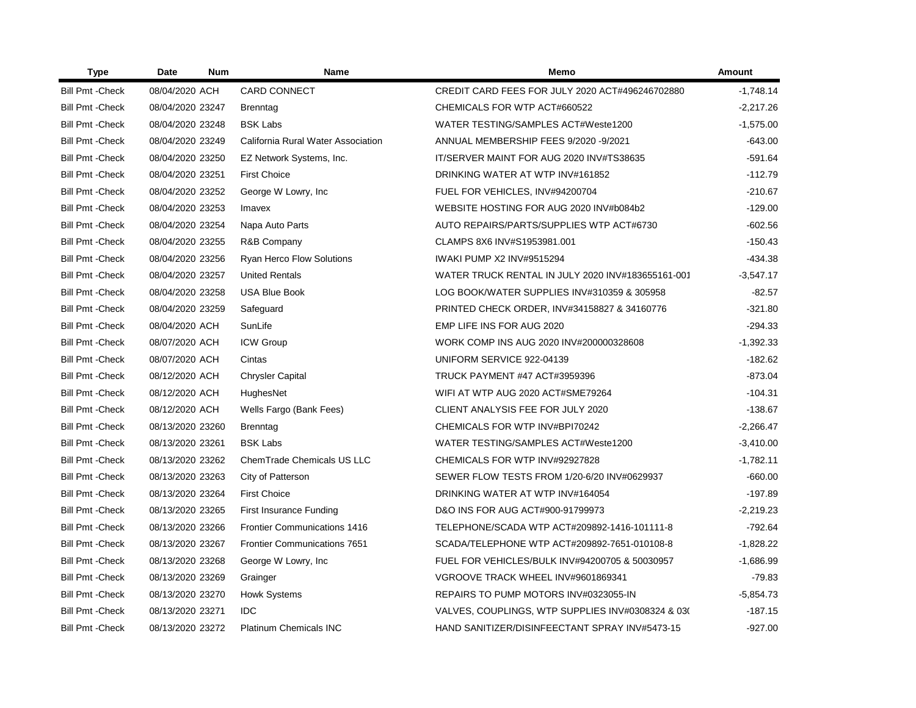| <b>Type</b>             | Date             | <b>Num</b> | <b>Name</b>                         | Memo                                              | <b>Amount</b> |
|-------------------------|------------------|------------|-------------------------------------|---------------------------------------------------|---------------|
| <b>Bill Pmt - Check</b> | 08/04/2020 ACH   |            | <b>CARD CONNECT</b>                 | CREDIT CARD FEES FOR JULY 2020 ACT#496246702880   | $-1.748.14$   |
| <b>Bill Pmt - Check</b> | 08/04/2020 23247 |            | <b>Brenntag</b>                     | CHEMICALS FOR WTP ACT#660522                      | $-2,217.26$   |
| <b>Bill Pmt - Check</b> | 08/04/2020 23248 |            | <b>BSK Labs</b>                     | WATER TESTING/SAMPLES ACT#Weste1200               | $-1,575.00$   |
| <b>Bill Pmt - Check</b> | 08/04/2020 23249 |            | California Rural Water Association  | ANNUAL MEMBERSHIP FEES 9/2020 -9/2021             | $-643.00$     |
| <b>Bill Pmt - Check</b> | 08/04/2020 23250 |            | EZ Network Systems, Inc.            | IT/SERVER MAINT FOR AUG 2020 INV#TS38635          | $-591.64$     |
| <b>Bill Pmt - Check</b> | 08/04/2020 23251 |            | <b>First Choice</b>                 | DRINKING WATER AT WTP INV#161852                  | $-112.79$     |
| <b>Bill Pmt - Check</b> | 08/04/2020 23252 |            | George W Lowry, Inc.                | FUEL FOR VEHICLES, INV#94200704                   | $-210.67$     |
| <b>Bill Pmt - Check</b> | 08/04/2020 23253 |            | Imavex                              | WEBSITE HOSTING FOR AUG 2020 INV#b084b2           | $-129.00$     |
| <b>Bill Pmt - Check</b> | 08/04/2020 23254 |            | Napa Auto Parts                     | AUTO REPAIRS/PARTS/SUPPLIES WTP ACT#6730          | $-602.56$     |
| <b>Bill Pmt - Check</b> | 08/04/2020 23255 |            | R&B Company                         | CLAMPS 8X6 INV#S1953981.001                       | $-150.43$     |
| <b>Bill Pmt - Check</b> | 08/04/2020 23256 |            | Ryan Herco Flow Solutions           | <b>IWAKI PUMP X2 INV#9515294</b>                  | $-434.38$     |
| <b>Bill Pmt - Check</b> | 08/04/2020 23257 |            | <b>United Rentals</b>               | WATER TRUCK RENTAL IN JULY 2020 INV#183655161-001 | $-3,547.17$   |
| <b>Bill Pmt - Check</b> | 08/04/2020 23258 |            | <b>USA Blue Book</b>                | LOG BOOK/WATER SUPPLIES INV#310359 & 305958       | $-82.57$      |
| <b>Bill Pmt - Check</b> | 08/04/2020 23259 |            | Safeguard                           | PRINTED CHECK ORDER, INV#34158827 & 34160776      | $-321.80$     |
| <b>Bill Pmt - Check</b> | 08/04/2020 ACH   |            | SunLife                             | EMP LIFE INS FOR AUG 2020                         | $-294.33$     |
| <b>Bill Pmt - Check</b> | 08/07/2020 ACH   |            | <b>ICW Group</b>                    | WORK COMP INS AUG 2020 INV#200000328608           | $-1,392.33$   |
| <b>Bill Pmt - Check</b> | 08/07/2020 ACH   |            | Cintas                              | UNIFORM SERVICE 922-04139                         | $-182.62$     |
| <b>Bill Pmt - Check</b> | 08/12/2020 ACH   |            | <b>Chrysler Capital</b>             | TRUCK PAYMENT #47 ACT#3959396                     | $-873.04$     |
| <b>Bill Pmt - Check</b> | 08/12/2020 ACH   |            | HughesNet                           | WIFI AT WTP AUG 2020 ACT#SME79264                 | $-104.31$     |
| <b>Bill Pmt - Check</b> | 08/12/2020 ACH   |            | Wells Fargo (Bank Fees)             | CLIENT ANALYSIS FEE FOR JULY 2020                 | $-138.67$     |
| <b>Bill Pmt - Check</b> | 08/13/2020 23260 |            | Brenntag                            | CHEMICALS FOR WTP INV#BPI70242                    | $-2,266.47$   |
| <b>Bill Pmt - Check</b> | 08/13/2020 23261 |            | <b>BSK Labs</b>                     | WATER TESTING/SAMPLES ACT#Weste1200               | $-3,410.00$   |
| <b>Bill Pmt - Check</b> | 08/13/2020 23262 |            | ChemTrade Chemicals US LLC          | CHEMICALS FOR WTP INV#92927828                    | $-1,782.11$   |
| <b>Bill Pmt - Check</b> | 08/13/2020 23263 |            | City of Patterson                   | SEWER FLOW TESTS FROM 1/20-6/20 INV#0629937       | $-660.00$     |
| <b>Bill Pmt - Check</b> | 08/13/2020 23264 |            | <b>First Choice</b>                 | DRINKING WATER AT WTP INV#164054                  | $-197.89$     |
| <b>Bill Pmt - Check</b> | 08/13/2020 23265 |            | First Insurance Funding             | D&O INS FOR AUG ACT#900-91799973                  | $-2,219.23$   |
| <b>Bill Pmt - Check</b> | 08/13/2020 23266 |            | <b>Frontier Communications 1416</b> | TELEPHONE/SCADA WTP ACT#209892-1416-101111-8      | $-792.64$     |
| <b>Bill Pmt - Check</b> | 08/13/2020 23267 |            | <b>Frontier Communications 7651</b> | SCADA/TELEPHONE WTP ACT#209892-7651-010108-8      | $-1,828.22$   |
| <b>Bill Pmt - Check</b> | 08/13/2020 23268 |            | George W Lowry, Inc.                | FUEL FOR VEHICLES/BULK INV#94200705 & 50030957    | $-1,686.99$   |
| <b>Bill Pmt - Check</b> | 08/13/2020 23269 |            | Grainger                            | VGROOVE TRACK WHEEL INV#9601869341                | $-79.83$      |
| <b>Bill Pmt - Check</b> | 08/13/2020 23270 |            | <b>Howk Systems</b>                 | REPAIRS TO PUMP MOTORS INV#0323055-IN             | $-5,854.73$   |
| <b>Bill Pmt - Check</b> | 08/13/2020 23271 |            | <b>IDC</b>                          | VALVES, COUPLINGS, WTP SUPPLIES INV#0308324 & 03( | $-187.15$     |
| <b>Bill Pmt - Check</b> | 08/13/2020 23272 |            | <b>Platinum Chemicals INC</b>       | HAND SANITIZER/DISINFEECTANT SPRAY INV#5473-15    | $-927.00$     |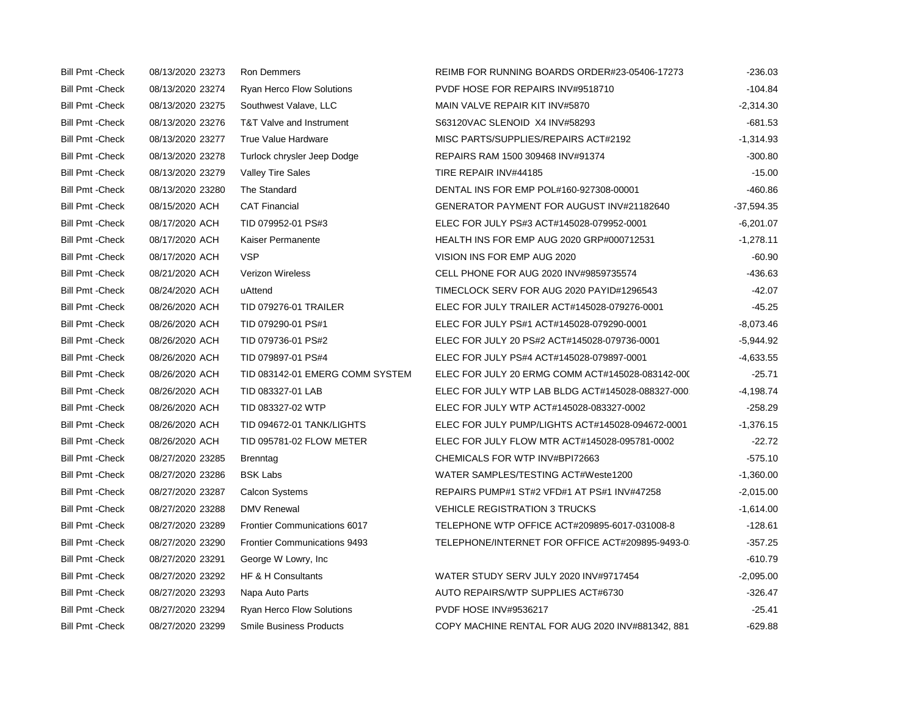| <b>Bill Pmt - Check</b> | 08/13/2020 23273 | <b>Ron Demmers</b>                  | REIMB FOR RUNNING BOARDS ORDER#23-05406-17273    | $-236.03$    |
|-------------------------|------------------|-------------------------------------|--------------------------------------------------|--------------|
| <b>Bill Pmt - Check</b> | 08/13/2020 23274 | <b>Ryan Herco Flow Solutions</b>    | PVDF HOSE FOR REPAIRS INV#9518710                | $-104.84$    |
| <b>Bill Pmt - Check</b> | 08/13/2020 23275 | Southwest Valave, LLC               | MAIN VALVE REPAIR KIT INV#5870                   | $-2,314.30$  |
| <b>Bill Pmt - Check</b> | 08/13/2020 23276 | T&T Valve and Instrument            | S63120VAC SLENOID X4 INV#58293                   | $-681.53$    |
| <b>Bill Pmt - Check</b> | 08/13/2020 23277 | <b>True Value Hardware</b>          | MISC PARTS/SUPPLIES/REPAIRS ACT#2192             | $-1,314.93$  |
| <b>Bill Pmt - Check</b> | 08/13/2020 23278 | Turlock chrysler Jeep Dodge         | REPAIRS RAM 1500 309468 INV#91374                | $-300.80$    |
| <b>Bill Pmt - Check</b> | 08/13/2020 23279 | <b>Valley Tire Sales</b>            | TIRE REPAIR INV#44185                            | $-15.00$     |
| <b>Bill Pmt - Check</b> | 08/13/2020 23280 | The Standard                        | DENTAL INS FOR EMP POL#160-927308-00001          | $-460.86$    |
| <b>Bill Pmt - Check</b> | 08/15/2020 ACH   | <b>CAT Financial</b>                | GENERATOR PAYMENT FOR AUGUST INV#21182640        | $-37,594.35$ |
| <b>Bill Pmt - Check</b> | 08/17/2020 ACH   | TID 079952-01 PS#3                  | ELEC FOR JULY PS#3 ACT#145028-079952-0001        | $-6,201.07$  |
| <b>Bill Pmt - Check</b> | 08/17/2020 ACH   | Kaiser Permanente                   | <b>HEALTH INS FOR EMP AUG 2020 GRP#000712531</b> | $-1,278.11$  |
| <b>Bill Pmt - Check</b> | 08/17/2020 ACH   | <b>VSP</b>                          | VISION INS FOR EMP AUG 2020                      | $-60.90$     |
| <b>Bill Pmt - Check</b> | 08/21/2020 ACH   | Verizon Wireless                    | CELL PHONE FOR AUG 2020 INV#9859735574           | $-436.63$    |
| <b>Bill Pmt - Check</b> | 08/24/2020 ACH   | uAttend                             | TIMECLOCK SERV FOR AUG 2020 PAYID#1296543        | $-42.07$     |
| <b>Bill Pmt - Check</b> | 08/26/2020 ACH   | <b>TID 079276-01 TRAILER</b>        | ELEC FOR JULY TRAILER ACT#145028-079276-0001     | $-45.25$     |
| <b>Bill Pmt - Check</b> | 08/26/2020 ACH   | TID 079290-01 PS#1                  | ELEC FOR JULY PS#1 ACT#145028-079290-0001        | $-8,073.46$  |
| <b>Bill Pmt - Check</b> | 08/26/2020 ACH   | TID 079736-01 PS#2                  | ELEC FOR JULY 20 PS#2 ACT#145028-079736-0001     | $-5,944.92$  |
| <b>Bill Pmt - Check</b> | 08/26/2020 ACH   | TID 079897-01 PS#4                  | ELEC FOR JULY PS#4 ACT#145028-079897-0001        | $-4,633.55$  |
| <b>Bill Pmt - Check</b> | 08/26/2020 ACH   | TID 083142-01 EMERG COMM SYSTEM     | ELEC FOR JULY 20 ERMG COMM ACT#145028-083142-000 | $-25.71$     |
| <b>Bill Pmt - Check</b> | 08/26/2020 ACH   | TID 083327-01 LAB                   | ELEC FOR JULY WTP LAB BLDG ACT#145028-088327-000 | $-4,198.74$  |
| <b>Bill Pmt - Check</b> | 08/26/2020 ACH   | TID 083327-02 WTP                   | ELEC FOR JULY WTP ACT#145028-083327-0002         | $-258.29$    |
| <b>Bill Pmt - Check</b> | 08/26/2020 ACH   | TID 094672-01 TANK/LIGHTS           | ELEC FOR JULY PUMP/LIGHTS ACT#145028-094672-0001 | $-1,376.15$  |
| <b>Bill Pmt - Check</b> | 08/26/2020 ACH   | TID 095781-02 FLOW METER            | ELEC FOR JULY FLOW MTR ACT#145028-095781-0002    | $-22.72$     |
| <b>Bill Pmt - Check</b> | 08/27/2020 23285 | <b>Brenntag</b>                     | CHEMICALS FOR WTP INV#BPI72663                   | $-575.10$    |
| <b>Bill Pmt - Check</b> | 08/27/2020 23286 | <b>BSK Labs</b>                     | WATER SAMPLES/TESTING ACT#Weste1200              | $-1,360.00$  |
| <b>Bill Pmt - Check</b> | 08/27/2020 23287 | <b>Calcon Systems</b>               | REPAIRS PUMP#1 ST#2 VFD#1 AT PS#1 INV#47258      | $-2,015.00$  |
| <b>Bill Pmt - Check</b> | 08/27/2020 23288 | <b>DMV Renewal</b>                  | <b>VEHICLE REGISTRATION 3 TRUCKS</b>             | $-1,614.00$  |
| <b>Bill Pmt - Check</b> | 08/27/2020 23289 | <b>Frontier Communications 6017</b> | TELEPHONE WTP OFFICE ACT#209895-6017-031008-8    | $-128.61$    |
| <b>Bill Pmt - Check</b> | 08/27/2020 23290 | <b>Frontier Communications 9493</b> | TELEPHONE/INTERNET FOR OFFICE ACT#209895-9493-0  | $-357.25$    |
| <b>Bill Pmt - Check</b> | 08/27/2020 23291 | George W Lowry, Inc.                |                                                  | $-610.79$    |
| <b>Bill Pmt - Check</b> | 08/27/2020 23292 | HF & H Consultants                  | WATER STUDY SERV JULY 2020 INV#9717454           | $-2,095.00$  |
| <b>Bill Pmt - Check</b> | 08/27/2020 23293 | Napa Auto Parts                     | AUTO REPAIRS/WTP SUPPLIES ACT#6730               | $-326.47$    |
| <b>Bill Pmt - Check</b> | 08/27/2020 23294 | <b>Ryan Herco Flow Solutions</b>    | <b>PVDF HOSE INV#9536217</b>                     | $-25.41$     |
| <b>Bill Pmt - Check</b> | 08/27/2020 23299 | <b>Smile Business Products</b>      | COPY MACHINE RENTAL FOR AUG 2020 INV#881342, 881 | $-629.88$    |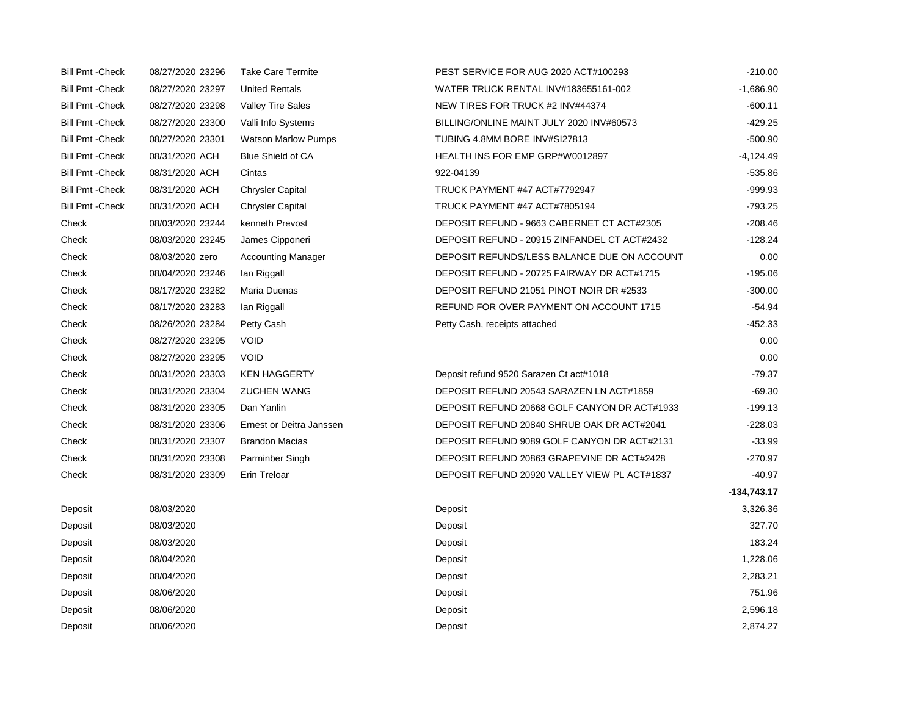| <b>Bill Pmt - Check</b> | 08/27/2020 23296 | <b>Take Care Termite</b>   | PEST SERVICE FOR AUG 2020 ACT#100293         | $-210.00$   |
|-------------------------|------------------|----------------------------|----------------------------------------------|-------------|
| <b>Bill Pmt - Check</b> | 08/27/2020 23297 | <b>United Rentals</b>      | WATER TRUCK RENTAL INV#183655161-002         | $-1,686.90$ |
| <b>Bill Pmt - Check</b> | 08/27/2020 23298 | <b>Valley Tire Sales</b>   | NEW TIRES FOR TRUCK #2 INV#44374             | $-600.11$   |
| <b>Bill Pmt - Check</b> | 08/27/2020 23300 | Valli Info Systems         | BILLING/ONLINE MAINT JULY 2020 INV#60573     | $-429.25$   |
| <b>Bill Pmt - Check</b> | 08/27/2020 23301 | <b>Watson Marlow Pumps</b> | TUBING 4.8MM BORE INV#SI27813                | $-500.90$   |
| <b>Bill Pmt - Check</b> | 08/31/2020 ACH   | <b>Blue Shield of CA</b>   | HEALTH INS FOR EMP GRP#W0012897              | $-4,124.49$ |
| <b>Bill Pmt - Check</b> | 08/31/2020 ACH   | Cintas                     | 922-04139                                    | $-535.86$   |
| <b>Bill Pmt - Check</b> | 08/31/2020 ACH   | <b>Chrysler Capital</b>    | TRUCK PAYMENT #47 ACT#7792947                | $-999.93$   |
| <b>Bill Pmt - Check</b> | 08/31/2020 ACH   | <b>Chrysler Capital</b>    | TRUCK PAYMENT #47 ACT#7805194                | $-793.25$   |
| Check                   | 08/03/2020 23244 | kenneth Prevost            | DEPOSIT REFUND - 9663 CABERNET CT ACT#2305   | $-208.46$   |
| Check                   | 08/03/2020 23245 | James Cipponeri            | DEPOSIT REFUND - 20915 ZINFANDEL CT ACT#2432 | $-128.24$   |
| Check                   | 08/03/2020 zero  | <b>Accounting Manager</b>  | DEPOSIT REFUNDS/LESS BALANCE DUE ON ACCOUNT  | 0.00        |
| Check                   | 08/04/2020 23246 | Ian Riggall                | DEPOSIT REFUND - 20725 FAIRWAY DR ACT#1715   | $-195.06$   |
| Check                   | 08/17/2020 23282 | Maria Duenas               | DEPOSIT REFUND 21051 PINOT NOIR DR #2533     | $-300.00$   |
| Check                   | 08/17/2020 23283 | lan Riggall                | REFUND FOR OVER PAYMENT ON ACCOUNT 1715      | $-54.94$    |
| Check                   | 08/26/2020 23284 | Petty Cash                 | Petty Cash, receipts attached                | $-452.33$   |
| Check                   | 08/27/2020 23295 | <b>VOID</b>                |                                              | 0.00        |
| Check                   | 08/27/2020 23295 | <b>VOID</b>                |                                              | 0.00        |
| Check                   | 08/31/2020 23303 | <b>KEN HAGGERTY</b>        | Deposit refund 9520 Sarazen Ct act#1018      | $-79.37$    |
| Check                   | 08/31/2020 23304 | <b>ZUCHEN WANG</b>         | DEPOSIT REFUND 20543 SARAZEN LN ACT#1859     | $-69.30$    |
| Check                   | 08/31/2020 23305 | Dan Yanlin                 | DEPOSIT REFUND 20668 GOLF CANYON DR ACT#1933 | $-199.13$   |
| Check                   | 08/31/2020 23306 | Ernest or Deitra Janssen   | DEPOSIT REFUND 20840 SHRUB OAK DR ACT#2041   | $-228.03$   |
| Check                   | 08/31/2020 23307 | <b>Brandon Macias</b>      | DEPOSIT REFUND 9089 GOLF CANYON DR ACT#2131  | $-33.99$    |
| Check                   | 08/31/2020 23308 | Parminber Singh            | DEPOSIT REFUND 20863 GRAPEVINE DR ACT#2428   | $-270.97$   |
| Check                   | 08/31/2020 23309 | Erin Treloar               | DEPOSIT REFUND 20920 VALLEY VIEW PL ACT#1837 | $-40.97$    |
|                         |                  |                            |                                              | -134,743.17 |
| Deposit                 | 08/03/2020       |                            | Deposit                                      | 3,326.36    |
| Deposit                 | 08/03/2020       |                            | Deposit                                      | 327.70      |
| Deposit                 | 08/03/2020       |                            | Deposit                                      | 183.24      |
| Deposit                 | 08/04/2020       |                            | Deposit                                      | 1,228.06    |
| Deposit                 | 08/04/2020       |                            | Deposit                                      | 2,283.21    |
| Deposit                 | 08/06/2020       |                            | Deposit                                      | 751.96      |
| Deposit                 | 08/06/2020       |                            | Deposit                                      | 2,596.18    |
| Deposit                 | 08/06/2020       |                            | Deposit                                      | 2,874.27    |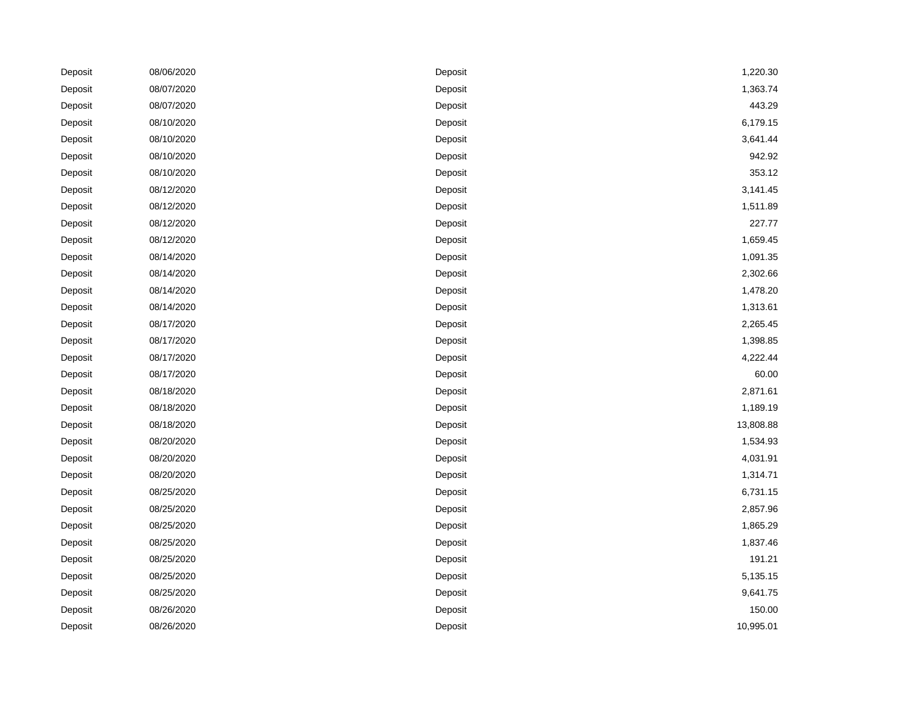| Deposit | 08/06/2020 | Deposit | 1,220.30  |
|---------|------------|---------|-----------|
| Deposit | 08/07/2020 | Deposit | 1,363.74  |
| Deposit | 08/07/2020 | Deposit | 443.29    |
| Deposit | 08/10/2020 | Deposit | 6,179.15  |
| Deposit | 08/10/2020 | Deposit | 3,641.44  |
| Deposit | 08/10/2020 | Deposit | 942.92    |
| Deposit | 08/10/2020 | Deposit | 353.12    |
| Deposit | 08/12/2020 | Deposit | 3,141.45  |
| Deposit | 08/12/2020 | Deposit | 1,511.89  |
| Deposit | 08/12/2020 | Deposit | 227.77    |
| Deposit | 08/12/2020 | Deposit | 1,659.45  |
| Deposit | 08/14/2020 | Deposit | 1,091.35  |
| Deposit | 08/14/2020 | Deposit | 2,302.66  |
| Deposit | 08/14/2020 | Deposit | 1,478.20  |
| Deposit | 08/14/2020 | Deposit | 1,313.61  |
| Deposit | 08/17/2020 | Deposit | 2,265.45  |
| Deposit | 08/17/2020 | Deposit | 1,398.85  |
| Deposit | 08/17/2020 | Deposit | 4,222.44  |
| Deposit | 08/17/2020 | Deposit | 60.00     |
| Deposit | 08/18/2020 | Deposit | 2,871.61  |
| Deposit | 08/18/2020 | Deposit | 1,189.19  |
| Deposit | 08/18/2020 | Deposit | 13,808.88 |
| Deposit | 08/20/2020 | Deposit | 1,534.93  |
| Deposit | 08/20/2020 | Deposit | 4,031.91  |
| Deposit | 08/20/2020 | Deposit | 1,314.71  |
| Deposit | 08/25/2020 | Deposit | 6,731.15  |
| Deposit | 08/25/2020 | Deposit | 2,857.96  |
| Deposit | 08/25/2020 | Deposit | 1,865.29  |
| Deposit | 08/25/2020 | Deposit | 1,837.46  |
| Deposit | 08/25/2020 | Deposit | 191.21    |
| Deposit | 08/25/2020 | Deposit | 5,135.15  |
| Deposit | 08/25/2020 | Deposit | 9,641.75  |
| Deposit | 08/26/2020 | Deposit | 150.00    |
| Deposit | 08/26/2020 | Deposit | 10,995.01 |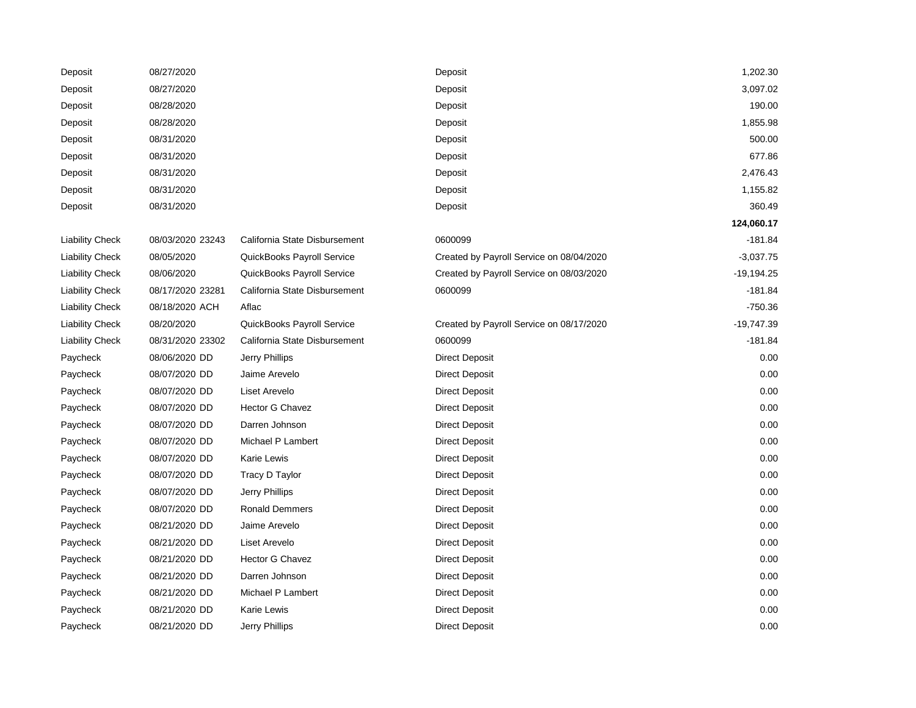| Deposit                | 08/27/2020       |                               | Deposit                                  | 1,202.30     |
|------------------------|------------------|-------------------------------|------------------------------------------|--------------|
| Deposit                | 08/27/2020       |                               | Deposit                                  | 3,097.02     |
| Deposit                | 08/28/2020       |                               | Deposit                                  | 190.00       |
| Deposit                | 08/28/2020       |                               | Deposit                                  | 1,855.98     |
| Deposit                | 08/31/2020       |                               | Deposit                                  | 500.00       |
| Deposit                | 08/31/2020       |                               | Deposit                                  | 677.86       |
| Deposit                | 08/31/2020       |                               | Deposit                                  | 2,476.43     |
| Deposit                | 08/31/2020       |                               | Deposit                                  | 1,155.82     |
| Deposit                | 08/31/2020       |                               | Deposit                                  | 360.49       |
|                        |                  |                               |                                          | 124,060.17   |
| <b>Liability Check</b> | 08/03/2020 23243 | California State Disbursement | 0600099                                  | $-181.84$    |
| <b>Liability Check</b> | 08/05/2020       | QuickBooks Payroll Service    | Created by Payroll Service on 08/04/2020 | $-3,037.75$  |
| <b>Liability Check</b> | 08/06/2020       | QuickBooks Payroll Service    | Created by Payroll Service on 08/03/2020 | $-19,194.25$ |
| <b>Liability Check</b> | 08/17/2020 23281 | California State Disbursement | 0600099                                  | $-181.84$    |
| <b>Liability Check</b> | 08/18/2020 ACH   | Aflac                         |                                          | $-750.36$    |
| <b>Liability Check</b> | 08/20/2020       | QuickBooks Payroll Service    | Created by Payroll Service on 08/17/2020 | $-19,747.39$ |
| <b>Liability Check</b> | 08/31/2020 23302 | California State Disbursement | 0600099                                  | $-181.84$    |
| Paycheck               | 08/06/2020 DD    | Jerry Phillips                | <b>Direct Deposit</b>                    | 0.00         |
| Paycheck               | 08/07/2020 DD    | Jaime Arevelo                 | <b>Direct Deposit</b>                    | 0.00         |
| Paycheck               | 08/07/2020 DD    | Liset Arevelo                 | <b>Direct Deposit</b>                    | 0.00         |
| Paycheck               | 08/07/2020 DD    | <b>Hector G Chavez</b>        | <b>Direct Deposit</b>                    | 0.00         |
| Paycheck               | 08/07/2020 DD    | Darren Johnson                | <b>Direct Deposit</b>                    | 0.00         |
| Paycheck               | 08/07/2020 DD    | Michael P Lambert             | <b>Direct Deposit</b>                    | 0.00         |
| Paycheck               | 08/07/2020 DD    | Karie Lewis                   | <b>Direct Deposit</b>                    | 0.00         |
| Paycheck               | 08/07/2020 DD    | Tracy D Taylor                | <b>Direct Deposit</b>                    | 0.00         |
| Paycheck               | 08/07/2020 DD    | Jerry Phillips                | <b>Direct Deposit</b>                    | 0.00         |
| Paycheck               | 08/07/2020 DD    | <b>Ronald Demmers</b>         | <b>Direct Deposit</b>                    | 0.00         |
| Paycheck               | 08/21/2020 DD    | Jaime Arevelo                 | <b>Direct Deposit</b>                    | 0.00         |
| Paycheck               | 08/21/2020 DD    | Liset Arevelo                 | <b>Direct Deposit</b>                    | 0.00         |
| Paycheck               | 08/21/2020 DD    | Hector G Chavez               | <b>Direct Deposit</b>                    | 0.00         |
| Paycheck               | 08/21/2020 DD    | Darren Johnson                | <b>Direct Deposit</b>                    | 0.00         |
| Paycheck               | 08/21/2020 DD    | Michael P Lambert             | <b>Direct Deposit</b>                    | 0.00         |
| Paycheck               | 08/21/2020 DD    | Karie Lewis                   | <b>Direct Deposit</b>                    | 0.00         |
| Paycheck               | 08/21/2020 DD    | <b>Jerry Phillips</b>         | <b>Direct Deposit</b>                    | 0.00         |
|                        |                  |                               |                                          |              |